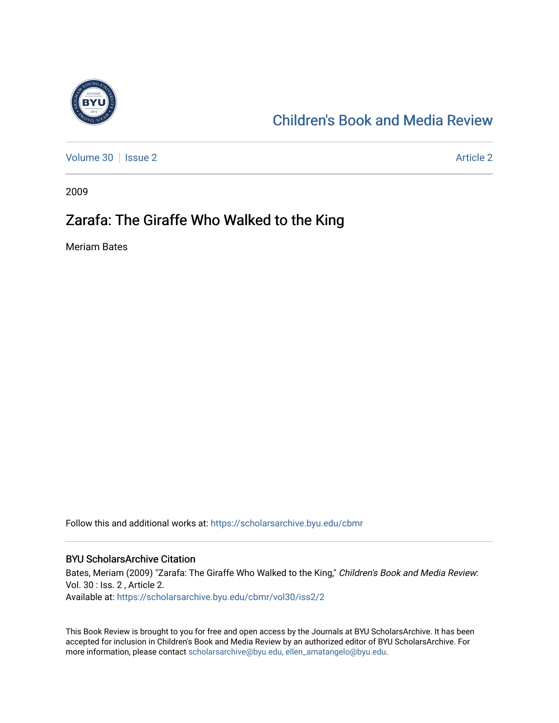

## [Children's Book and Media Review](https://scholarsarchive.byu.edu/cbmr)

[Volume 30](https://scholarsarchive.byu.edu/cbmr/vol30) | [Issue 2](https://scholarsarchive.byu.edu/cbmr/vol30/iss2) Article 2

2009

## Zarafa: The Giraffe Who Walked to the King

Meriam Bates

Follow this and additional works at: [https://scholarsarchive.byu.edu/cbmr](https://scholarsarchive.byu.edu/cbmr?utm_source=scholarsarchive.byu.edu%2Fcbmr%2Fvol30%2Fiss2%2F2&utm_medium=PDF&utm_campaign=PDFCoverPages) 

## BYU ScholarsArchive Citation

Bates, Meriam (2009) "Zarafa: The Giraffe Who Walked to the King," Children's Book and Media Review: Vol. 30 : Iss. 2 , Article 2. Available at: [https://scholarsarchive.byu.edu/cbmr/vol30/iss2/2](https://scholarsarchive.byu.edu/cbmr/vol30/iss2/2?utm_source=scholarsarchive.byu.edu%2Fcbmr%2Fvol30%2Fiss2%2F2&utm_medium=PDF&utm_campaign=PDFCoverPages) 

This Book Review is brought to you for free and open access by the Journals at BYU ScholarsArchive. It has been accepted for inclusion in Children's Book and Media Review by an authorized editor of BYU ScholarsArchive. For more information, please contact [scholarsarchive@byu.edu, ellen\\_amatangelo@byu.edu.](mailto:scholarsarchive@byu.edu,%20ellen_amatangelo@byu.edu)